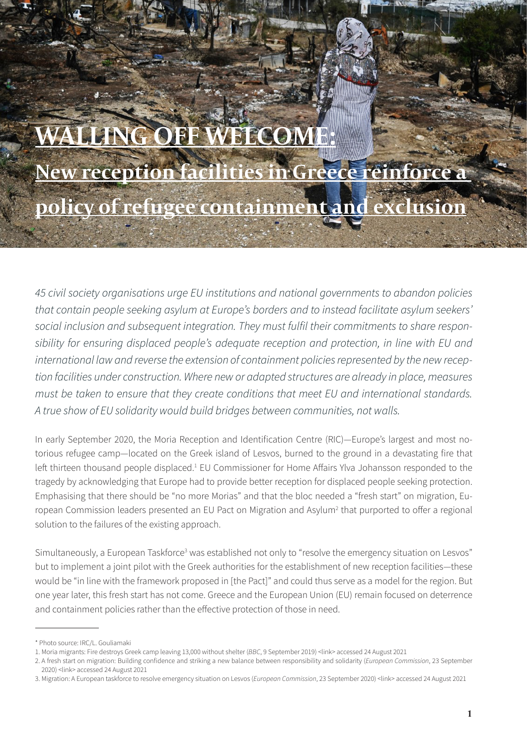# **LING OFF WELCOME: New reception facilities in Greece reinforce a policy of refugee containment and exclusion**

*45 civil society organisations urge EU institutions and national governments to abandon policies that contain people seeking asylum at Europe's borders and to instead facilitate asylum seekers' social inclusion and subsequent integration. They must fulfil their commitments to share responsibility for ensuring displaced people's adequate reception and protection, in line with EU and international law and reverse the extension of containment policies represented by the new reception facilities under construction. Where new or adapted structures are already in place, measures must be taken to ensure that they create conditions that meet EU and international standards. A true show of EU solidarity would build bridges between communities, not walls.*

In early September 2020, the Moria Reception and Identification Centre (RIC)—Europe's largest and most notorious refugee camp—located on the Greek island of Lesvos, burned to the ground in a devastating fire that left thirteen thousand people displaced.<sup>1</sup> EU Commissioner for Home Affairs Ylva Johansson responded to the tragedy by acknowledging that Europe had to provide better reception for displaced people seeking protection. Emphasising that there should be "no more Morias" and that the bloc needed a "fresh start" on migration, European Commission leaders presented an EU Pact on Migration and Asylum<sup>2</sup> that purported to offer a regional solution to the failures of the existing approach.

Simultaneously, a European Taskforce<sup>3</sup> was established not only to "resolve the emergency situation on Lesvos" but to implement a joint pilot with the Greek authorities for the establishment of new reception facilities—these would be "in line with the framework proposed in [the Pact]" and could thus serve as a model for the region. But one year later, this fresh start has not come. Greece and the European Union (EU) remain focused on deterrence and containment policies rather than the effective protection of those in need.

<sup>\*</sup> Photo source: IRC/L. Gouliamaki

<sup>1.</sup> Moria migrants: Fire destroys Greek camp leaving 13,000 without shelter (*BBC*, 9 September 2019) [<link](https://www.bbc.com/news/world-europe-54082201)> accessed 24 August 2021

<sup>2.</sup> A fresh start on migration: Building confidence and striking a new balance between responsibility and solidarity (*European Commission*, 23 September 2020) <[link>](https://ec.europa.eu/commission/presscorner/detail/en/ip_20_1706) accessed 24 August 2021

<sup>3.</sup> Migration: A European taskforce to resolve emergency situation on Lesvos (*European Commission*, 23 September 2020) [<link](https://ec.europa.eu/commission/presscorner/detail/en/ip_20_1728)> accessed 24 August 2021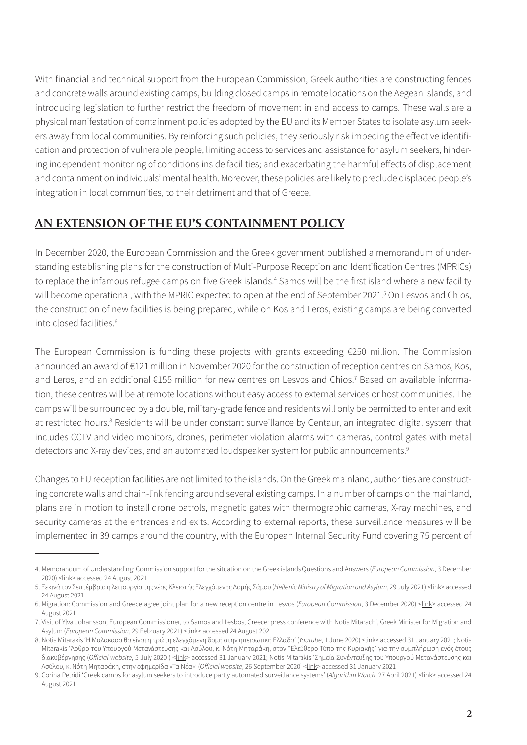With financial and technical support from the European Commission, Greek authorities are constructing fences and concrete walls around existing camps, building closed camps in remote locations on the Aegean islands, and introducing legislation to further restrict the freedom of movement in and access to camps. These walls are a physical manifestation of containment policies adopted by the EU and its Member States to isolate asylum seekers away from local communities. By reinforcing such policies, they seriously risk impeding the effective identification and protection of vulnerable people; limiting access to services and assistance for asylum seekers; hindering independent monitoring of conditions inside facilities; and exacerbating the harmful effects of displacement and containment on individuals' mental health. Moreover, these policies are likely to preclude displaced people's integration in local communities, to their detriment and that of Greece.

## **AN EXTENSION OF THE EU'S CONTAINMENT POLICY**

In December 2020, the European Commission and the Greek government published a memorandum of understanding establishing plans for the construction of Multi-Purpose Reception and Identification Centres (MPRICs) to replace the infamous refugee camps on five Greek islands.<sup>4</sup> Samos will be the first island where a new facility will become operational, with the MPRIC expected to open at the end of September 2021.<sup>5</sup> On Lesvos and Chios, the construction of new facilities is being prepared, while on Kos and Leros, existing camps are being converted into closed facilities.<sup>6</sup>

The European Commission is funding these projects with grants exceeding €250 million. The Commission announced an award of €121 million in November 2020 for the construction of reception centres on Samos, Kos, and Leros, and an additional €155 million for new centres on Lesvos and Chios.<sup>7</sup> Based on available information, these centres will be at remote locations without easy access to external services or host communities. The camps will be surrounded by a double, military-grade fence and residents will only be permitted to enter and exit at restricted hours.<sup>8</sup> Residents will be under constant surveillance by Centaur, an integrated digital system that includes CCTV and video monitors, drones, perimeter violation alarms with cameras, control gates with metal detectors and X-ray devices, and an automated loudspeaker system for public announcements.<sup>9</sup>

Changes to EU reception facilities are not limited to the islands. On the Greek mainland, authorities are constructing concrete walls and chain-link fencing around several existing camps. In a number of camps on the mainland, plans are in motion to install drone patrols, magnetic gates with thermographic cameras, X-ray machines, and security cameras at the entrances and exits. According to external reports, these surveillance measures will be implemented in 39 camps around the country, with the European Internal Security Fund covering 75 percent of

<sup>4.</sup> Memorandum of Understanding: Commission support for the situation on the Greek islands Questions and Answers (*European Commission*, 3 December 2020) <[link>](https://ec.europa.eu/commission/presscorner/detail/en/QANDA_20_2284) accessed 24 August 2021

<sup>5.</sup> Ξεκινά τον Σεπτέμβριο η λειτουργία της νέας Κλειστής Ελεγχόμενης Δομής Σάμου (*Hellenic Ministry of Migration and Asylum*, 29 July 2021) <[link](https://migration.gov.gr/en/xekina-ton-septemvrio-i-leitoyrgia-tis-neas-kleistis-elegchomenis-domis-samoy/)> accessed 24 August 2021

<sup>6</sup>. Migration: Commission and Greece agree joint plan for a new reception centre in Lesvos (*European Commission*, 3 December 2020) [<link](https://ec.europa.eu/commission/presscorner/detail/en/ip_20_2287)> accessed 24 August 2021

<sup>7</sup>. Visit of Ylva Johansson, European Commissioner, to Samos and Lesbos, Greece: press conference with Notis Mitarachi, Greek Minister for Migration and Asylum (*European Commission*, 29 February 2021) <[link](https://ec.europa.eu/commission/presscorner/detail/en/QANDA_20_2284)> accessed 24 August 2021

<sup>8.</sup> Notis Mitarakis 'Η Μαλακάσα θα είναι η πρώτη ελεγχόμενη δομή στην ηπειρωτική Ελλάδα' (*Youtube*, 1 June 2020) <*[link](https://www.youtube.com/watch?v=jYrABhhYh5w&ab_channel=..............)*> accessed 31 January 2021; Notis Mitarakis 'Άρθρο του Υπουργού Μετανάστευσης και Ασύλου, κ. Νότη Μηταράκη, στον "Ελεύθερο Τύπο της Κυριακής" για την συμπλήρωση ενός έτους διακυβέρνησης (*Official website*, 5 July 2020 ) <[link](https://www.mitarakis.gr/press/88-newspapers/6200-eleftheros-typos)> accessed 31 January 2021; Notis Mitarakis 'Σημεία Συνέντευξης του Υπουργού Μετανάστευσης και Ασύλου, κ. Νότη Μηταράκη, στην εφημερίδα «Τα Νέα»' (*Official website*, 26 September 2020) <[link>](https://www.mitarakis.gr/press/88-newspapers/6268-ta-nea?akid=251.123796.6eDPLT&rd=1&t=42) accessed 31 January 2021

<sup>9</sup>. Corina Petridi 'Greek camps for asylum seekers to introduce partly automated surveillance systems' (*Algorithm Watch*, 27 April 2021) <[link](https://algorithmwatch.org/en/greek-camps-surveillance/)> accessed 24 August 2021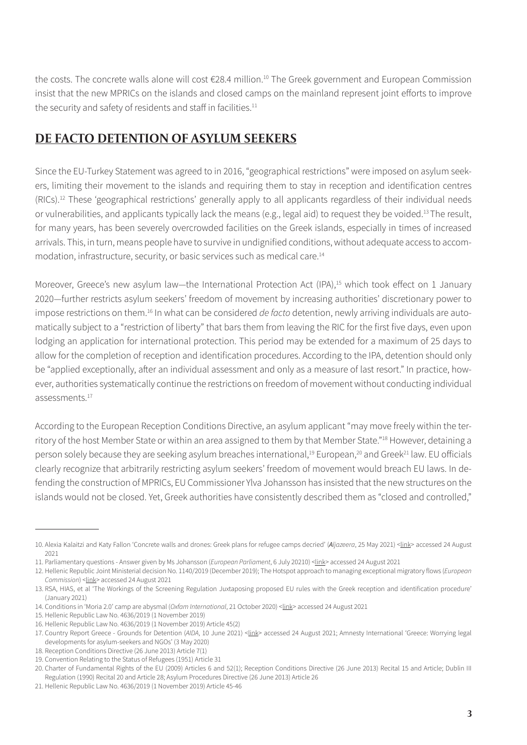the costs. The concrete walls alone will cost €28.4 million.<sup>10</sup> The Greek government and European Commission insist that the new MPRICs on the islands and closed camps on the mainland represent joint efforts to improve the security and safety of residents and staff in facilities.<sup>11</sup>

## **DE FACTO DETENTION OF ASYLUM SEEKERS**

Since the EU-Turkey Statement was agreed to in 2016, "geographical restrictions" were imposed on asylum seekers, limiting their movement to the islands and requiring them to stay in reception and identification centres (RICs).<sup>12</sup> These 'geographical restrictions' generally apply to all applicants regardless of their individual needs or vulnerabilities, and applicants typically lack the means (e.g., legal aid) to request they be voided.<sup>13</sup>The result, for many years, has been severely overcrowded facilities on the Greek islands, especially in times of increased arrivals. This, in turn, means people have to survive in undignified conditions, without adequate access to accommodation, infrastructure, security, or basic services such as medical care.14

Moreover, Greece's new asylum law—the International Protection Act (IPA),<sup>15</sup> which took effect on 1 January 2020—further restricts asylum seekers' freedom of movement by increasing authorities' discretionary power to impose restrictions on them.<sup>16</sup> In what can be considered *de facto* detention, newly arriving individuals are automatically subject to a "restriction of liberty" that bars them from leaving the RIC for the first five days, even upon lodging an application for international protection. This period may be extended for a maximum of 25 days to allow for the completion of reception and identification procedures. According to the IPA, detention should only be "applied exceptionally, after an individual assessment and only as a measure of last resort." In practice, however, authorities systematically continue the restrictions on freedom of movement without conducting individual assessments.<sup>17</sup>

According to the European Reception Conditions Directive, an asylum applicant "may move freely within the territory of the host Member State or within an area assigned to them by that Member State."<sup>18</sup> However, detaining a person solely because they are seeking asylum breaches international,<sup>19</sup> European,<sup>20</sup> and Greek<sup>21</sup> law. EU officials clearly recognize that arbitrarily restricting asylum seekers' freedom of movement would breach EU laws. In defending the construction of MPRICs, EU Commissioner Ylva Johansson has insisted that the new structures on the islands would not be closed. Yet, Greek authorities have consistently described them as "closed and controlled,"

<sup>10</sup>. Alexia Kalaitzi and Katy Fallon 'Concrete walls and drones: Greek plans for refugee camps decried' (*Aljazeera*, 25 May 2021) <[link](https://www.aljazeera.com/news/2021/5/25/concrete-walls-and-drones-greek-plans-for-refugee-camps-decried)> accessed 24 August 2021

<sup>11</sup>. Parliamentary questions - Answer given by Ms Johansson (*European Parliament*, 6 July 20210) [<link>](https://www.europarl.europa.eu/doceo/document/P-9-2021-002751-ASW_EN.html) accessed 24 August 2021

<sup>12</sup>. Hellenic Republic Joint Ministerial decision No. 1140/2019 (December 2019); The Hotspot approach to managing exceptional migratory flows (*European Commission*) <*link>* accessed 24 August 2021

<sup>13</sup>. RSA, HIAS, et al 'The Workings of the Screening Regulation Juxtaposing proposed EU rules with the Greek reception and identification procedure' (January 2021)

<sup>14.</sup> Conditions in 'Moria 2.0' camp are abysmal (*Oxfam International*, 21 October 2020) [<link>](https://www.oxfam.org/en/press-releases/conditions-moria-20-camp-are-abysmal-say-gcr-and-oxfam) accessed 24 August 2021

<sup>15</sup>. Hellenic Republic Law No. 4636/2019 (1 November 2019)

<sup>16</sup>. Hellenic Republic Law No. 4636/2019 (1 November 2019) Article 45(2)

<sup>17.</sup> Country Report Greece - Grounds for Detention (AIDA, 10 June 2021) <*link>* accessed 24 August 2021; Amnesty International 'Greece: Worrying legal developments for asylum-seekers and NGOs' (3 May 2020)

<sup>18</sup>. Reception Conditions Directive (26 June 2013) Article 7(1)

<sup>19</sup>. Convention Relating to the Status of Refugees (1951) Article 31

<sup>20</sup>. Charter of Fundamental Rights of the EU (2009) Articles 6 and 52(1); Reception Conditions Directive (26 June 2013) Recital 15 and Article; Dublin III Regulation (1990) Recital 20 and Article 28; Asylum Procedures Directive (26 June 2013) Article 26

<sup>21</sup>. Hellenic Republic Law No. 4636/2019 (1 November 2019) Article 45-46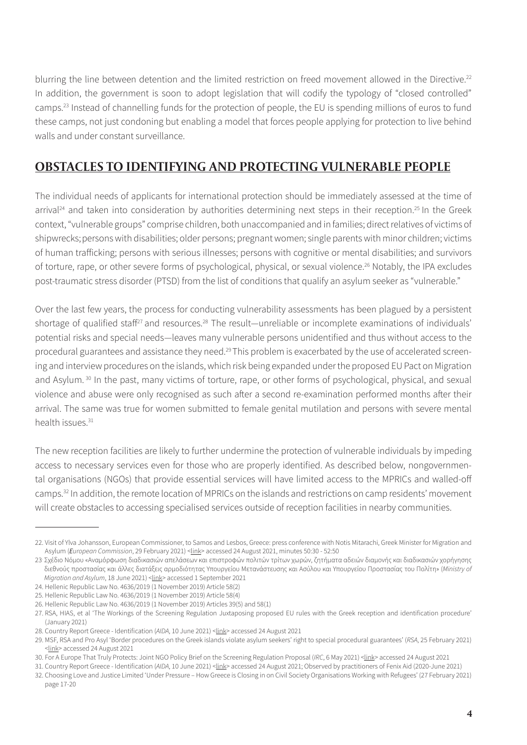blurring the line between detention and the limited restriction on freed movement allowed in the Directive.<sup>22</sup> In addition, the government is soon to adopt legislation that will codify the typology of "closed controlled" camps.<sup>23</sup> Instead of channelling funds for the protection of people, the EU is spending millions of euros to fund these camps, not just condoning but enabling a model that forces people applying for protection to live behind walls and under constant surveillance.

#### **OBSTACLES TO IDENTIFYING AND PROTECTING VULNERABLE PEOPLE**

The individual needs of applicants for international protection should be immediately assessed at the time of arrival<sup>24</sup> and taken into consideration by authorities determining next steps in their reception.<sup>25</sup> In the Greek context, "vulnerable groups" comprise children, both unaccompanied and in families; direct relatives of victims of shipwrecks;persons with disabilities; older persons; pregnant women; single parents with minor children; victims of human trafficking; persons with serious illnesses; persons with cognitive or mental disabilities; and survivors of torture, rape, or other severe forms of psychological, physical, or sexual violence.<sup>26</sup> Notably, the IPA excludes post-traumatic stress disorder (PTSD) from the list of conditions that qualify an asylum seeker as "vulnerable."

Over the last few years, the process for conducting vulnerability assessments has been plagued by a persistent shortage of qualified staff<sup>27</sup> and resources.<sup>28</sup> The result—unreliable or incomplete examinations of individuals' potential risks and special needs—leaves many vulnerable persons unidentified and thus without access to the procedural guarantees and assistance they need.<sup>29</sup>This problem is exacerbated by the use of accelerated screening and interview procedures on the islands, which risk being expanded under the proposed EU Pact on Migration and Asylum.<sup>30</sup> In the past, many victims of torture, rape, or other forms of psychological, physical, and sexual violence and abuse were only recognised as such after a second re-examination performed months after their arrival. The same was true for women submitted to female genital mutilation and persons with severe mental health issues  $31$ 

The new reception facilities are likely to further undermine the protection of vulnerable individuals by impeding access to necessary services even for those who are properly identified. As described below, nongovernmental organisations (NGOs) that provide essential services will have limited access to the MPRICs and walled-off camps.<sup>32</sup> In addition, the remote location of MPRICs on the islands and restrictions on camp residents' movement will create obstacles to accessing specialised services outside of reception facilities in nearby communities.

<sup>22</sup>. Visit of Ylva Johansson, European Commissioner, to Samos and Lesbos, Greece: press conference with Notis Mitarachi, Greek Minister for Migration and Asylum (*European Commission*, 29 February 2021) <[link](https://ec.europa.eu/commission/presscorner/detail/en/QANDA_20_2284)> accessed 24 August 2021, minutes 50:30 - 52:50

<sup>23</sup>. Σχέδιο Νόμου «Αναμόρφωση διαδικασιών απελάσεων και επιστροφών πολιτών τρίτων χωρών, ζητήματα αδειών διαμονής και διαδικασιών χορήγησης διεθνούς προστασίας και άλλες διατάξεις αρμοδιότητας Υπουργείου Μετανάστευσης και Ασύλου και Υπουργείου Προστασίας του Πολίτη» (*Ministry of Migration and Asylum*, 18 June 2021) <*[link](http://www.opengov.gr/immigration/?p=1538)>* accessed 1 September 2021

<sup>24.</sup> Hellenic Republic Law No. 4636/2019 (1 November 2019) Article 58(2)

<sup>25</sup>. Hellenic Republic Law No. 4636/2019 (1 November 2019) Article 58(4)

<sup>26</sup>. Hellenic Republic Law No. 4636/2019 (1 November 2019) Articles 39(5) and 58(1)

<sup>27</sup>. RSA, HIAS, et al 'The Workings of the Screening Regulation Juxtaposing proposed EU rules with the Greek reception and identification procedure' (January 2021)

<sup>28.</sup> Country Report Greece - Identification (AIDA, 10 June 2021) <*link>* accessed 24 August 2021

<sup>29</sup>. MSF, RSA and Pro Asyl 'Border procedures on the Greek islands violate asylum seekers' right to special procedural guarantees' (*RSA*, 25 February 2021) <[link](https://rsaegean.org/en/rsa_msf_proasyl_specialproceduralguarantees/)> accessed 24 August 2021

<sup>30.</sup> For A Europe That Truly Protects: Joint NGO Policy Brief on the Screening Regulation Proposal (*IRC*, 6 May 2021) <Link> accessed 24 August 2021

<sup>31</sup>. Country Report Greece - Identification (*AIDA*, 10 June 2021) [<link>](https://asylumineurope.org/reports/country/greece/asylum-procedure/guarantees-vulnerable-groups/identification/.) accessed 24 August 2021; Observed by practitioners of Fenix Aid (2020-June 2021) 32. Choosing Love and Justice Limited 'Under Pressure – How Greece is Closing in on Civil Society Organisations Working with Refugees' (27 February 2021) page 17-20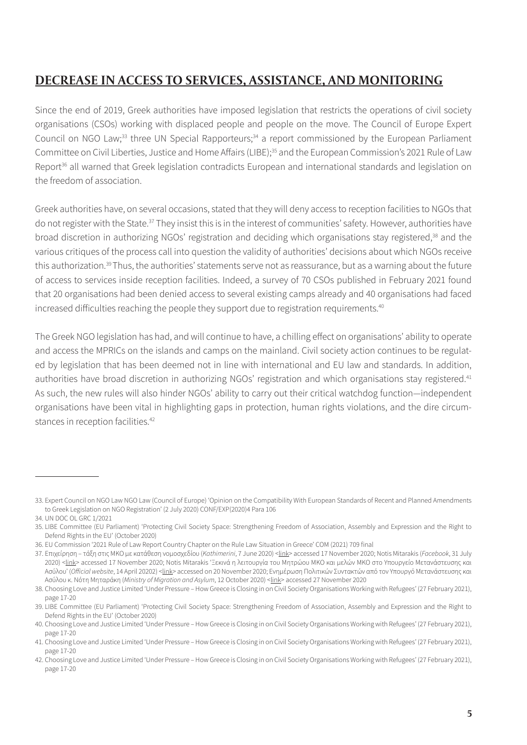## **DECREASE IN ACCESS TO SERVICES, ASSISTANCE, AND MONITORING**

Since the end of 2019, Greek authorities have imposed legislation that restricts the operations of civil society organisations (CSOs) working with displaced people and people on the move. The Council of Europe Expert Council on NGO Law;<sup>33</sup> three UN Special Rapporteurs;<sup>34</sup> a report commissioned by the European Parliament Committee on Civil Liberties, Justice and Home Affairs (LIBE);<sup>35</sup> and the European Commission's 2021 Rule of Law Report<sup>36</sup> all warned that Greek legislation contradicts European and international standards and legislation on the freedom of association.

Greek authorities have, on several occasions, stated that they will deny access to reception facilities to NGOs that do not register with the State.<sup>37</sup> They insist this is in the interest of communities' safety. However, authorities have broad discretion in authorizing NGOs' registration and deciding which organisations stay registered,38 and the various critiques of the process call into question the validity of authorities' decisions about which NGOs receive this authorization.<sup>39</sup>Thus, the authorities' statements serve not as reassurance, but as a warning about the future of access to services inside reception facilities. Indeed, a survey of 70 CSOs published in February 2021 found that 20 organisations had been denied access to several existing camps already and 40 organisations had faced increased difficulties reaching the people they support due to registration requirements.<sup>40</sup>

The Greek NGO legislation has had, and will continue to have, a chilling effect on organisations' ability to operate and access the MPRICs on the islands and camps on the mainland. Civil society action continues to be regulated by legislation that has been deemed not in line with international and EU law and standards. In addition, authorities have broad discretion in authorizing NGOs' registration and which organisations stay registered.<sup>41</sup> As such, the new rules will also hinder NGOs' ability to carry out their critical watchdog function—independent organisations have been vital in highlighting gaps in protection, human rights violations, and the dire circumstances in reception facilities.<sup>42</sup>

<sup>33</sup>. Expert Council on NGO Law NGO Law (Council of Europe) 'Opinion on the Compatibility With European Standards of Recent and Planned Amendments to Greek Legislation on NGO Registration' (2 July 2020) CONF/EXP(2020)4 Para 106

<sup>34.</sup> UN DOC OL GRC 1/2021

<sup>35</sup>. LIBE Committee (EU Parliament) 'Protecting Civil Society Space: Strengthening Freedom of Association, Assembly and Expression and the Right to Defend Rights in the EU' (October 2020)

<sup>36</sup>. EU Commission '2021 Rule of Law Report Country Chapter on the Rule Law Situation in Greece' COM (2021) 709 final

<sup>37.</sup> Eπιχείρηση – τάξη στις ΜΚΟ με κατάθεση νομοσχεδίου (*Kathimerini*, 7 June 2020) <[link](https://www.kathimerini.gr/politics/1081693/epicheirisi-taxi-stis-mko-me-katathesi-nomoschedioy/)> accessed 17 November 2020; Notis Mitarakis (*Facebook*, 31 July 2020) [<link>](https://www.facebook.com/notis.mitarakis/posts/3288634471159768) accessed 17 November 2020; Notis Mitarakis 'Ξεκινά η λειτουργία του Μητρώου ΜΚΟ και μελών ΜΚΟ στο Υπουργείο Μετανάστευσης και Ασύλου' (*Official website*, 14 April 20202) [<link](https://www.mitarakis.gr/gov/migration/1996-dt-yma-mko)> accessed on 20 November 2020; Ενημέρωση Πολιτικών Συντακτών από τον Υπουργό Μετανάστευσης και Ασύλου κ. Νότη Μηταράκη (*Ministry of Migration and Asylum*, 12 October 2020) <[link](https://migration.gov.gr/en/enimerosi-politikon-syntakton-apo-ton-ypoyrgo-metanasteysis-kai-asyloy-k-noti-mitaraki/?akid=252.123796.0VAgbo&fbclid=IwAR2HmqqaElvQmfyFjO_fSpe_43re5S4eloRJBVOS25gOLk3CusuhxkyiKOw&rd=1&t=9)> accessed 27 November 2020

<sup>38</sup>. Choosing Love and Justice Limited 'Under Pressure – How Greece is Closing in on Civil Society Organisations Working with Refugees' (27 February 2021), page 17-20

<sup>39</sup>. LIBE Committee (EU Parliament) 'Protecting Civil Society Space: Strengthening Freedom of Association, Assembly and Expression and the Right to Defend Rights in the EU' (October 2020)

<sup>40.</sup> Choosing Love and Justice Limited 'Under Pressure – How Greece is Closing in on Civil Society Organisations Working with Refugees' (27 February 2021), page 17-20

<sup>41.</sup> Choosing Love and Justice Limited 'Under Pressure – How Greece is Closing in on Civil Society Organisations Working with Refugees' (27 February 2021), page 17-20

<sup>42.</sup> Choosing Love and Justice Limited 'Under Pressure – How Greece is Closing in on Civil Society Organisations Working with Refugees' (27 February 2021), page 17-20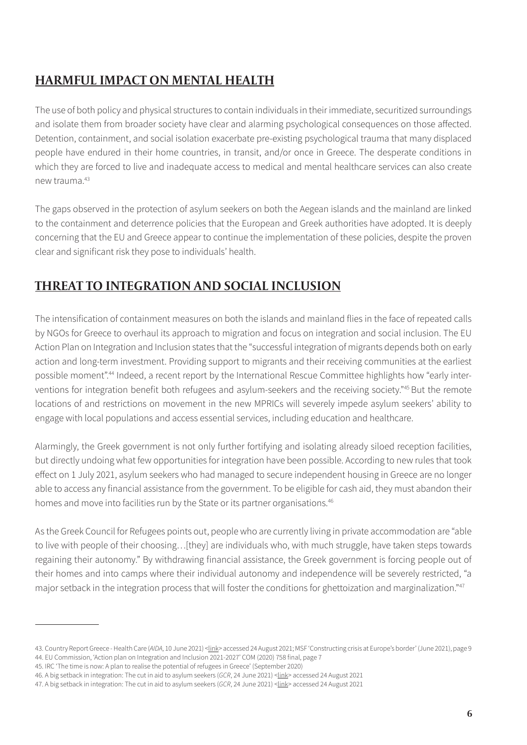# **HARMFUL IMPACT ON MENTAL HEALTH**

The use of both policy and physical structures to contain individuals in their immediate, securitized surroundings and isolate them from broader society have clear and alarming psychological consequences on those affected. Detention, containment, and social isolation exacerbate pre-existing psychological trauma that many displaced people have endured in their home countries, in transit, and/or once in Greece. The desperate conditions in which they are forced to live and inadequate access to medical and mental healthcare services can also create new trauma.43

The gaps observed in the protection of asylum seekers on both the Aegean islands and the mainland are linked to the containment and deterrence policies that the European and Greek authorities have adopted. It is deeply concerning that the EU and Greece appear to continue the implementation of these policies, despite the proven clear and significant risk they pose to individuals' health.

## **THREAT TO INTEGRATION AND SOCIAL INCLUSION**

The intensification of containment measures on both the islands and mainland flies in the face of repeated calls by NGOs for Greece to overhaul its approach to migration and focus on integration and social inclusion. The EU Action Plan on Integration and Inclusion states that the "successful integration of migrants depends both on early action and long-term investment. Providing support to migrants and their receiving communities at the earliest possible moment".44 Indeed, a recent report by the International Rescue Committee highlights how "early interventions for integration benefit both refugees and asylum-seekers and the receiving society."45 But the remote locations of and restrictions on movement in the new MPRICs will severely impede asylum seekers' ability to engage with local populations and access essential services, including education and healthcare.

Alarmingly, the Greek government is not only further fortifying and isolating already siloed reception facilities, but directly undoing what few opportunities for integration have been possible. According to new rules that took effect on 1 July 2021, asylum seekers who had managed to secure independent housing in Greece are no longer able to access any financial assistance from the government. To be eligible for cash aid, they must abandon their homes and move into facilities run by the State or its partner organisations.<sup>46</sup>

As the Greek Council for Refugees points out, people who are currently living in private accommodation are "able to live with people of their choosing…[they] are individuals who, with much struggle, have taken steps towards regaining their autonomy." By withdrawing financial assistance, the Greek government is forcing people out of their homes and into camps where their individual autonomy and independence will be severely restricted, "a major setback in the integration process that will foster the conditions for ghettoization and marginalization."<sup>47</sup>

<sup>43.</sup> Country Report Greece - Health Care (AIDA, 10 June 2021) <*link>* accessed 24 August 2021; MSF 'Constructing crisis at Europe's border' (June 2021), page 9 44. EU Commission, 'Action plan on Integration and Inclusion 2021-2027' COM (2020) 758 final, page 7

<sup>45.</sup> IRC 'The time is now: A plan to realise the potential of refugees in Greece' (September 2020)

<sup>46.</sup> A big setback in integration: The cut in aid to asylum seekers (*GCR*, 24 June 2021) <[link>](https://www.gcr.gr/en/news/press-releases-announcements/item/1742-a-big-setback-in-integration-the-cut-in-aid-to-asylum-seekers) accessed 24 August 2021

<sup>47.</sup> A big setback in integration: The cut in aid to asylum seekers (*GCR*, 24 June 2021) <[link>](https://www.gcr.gr/en/news/press-releases-announcements/item/1742-a-big-setback-in-integration-the-cut-in-aid-to-asylum-seekers) accessed 24 August 2021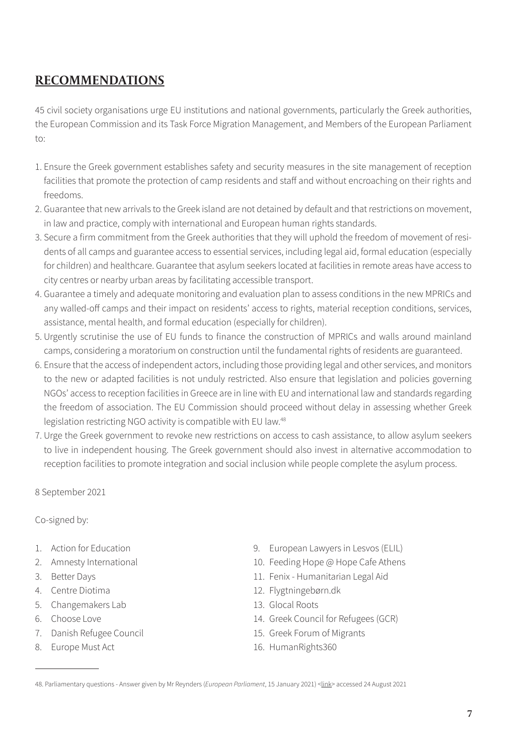#### **RECOMMENDATIONS**

45 civil society organisations urge EU institutions and national governments, particularly the Greek authorities, the European Commission and its Task Force Migration Management, and Members of the European Parliament to:

- 1. Ensure the Greek government establishes safety and security measures in the site management of reception facilities that promote the protection of camp residents and staff and without encroaching on their rights and freedoms.
- 2. Guarantee that new arrivals to the Greek island are not detained by default and that restrictions on movement, in law and practice, comply with international and European human rights standards.
- 3. Secure a firm commitment from the Greek authorities that they will uphold the freedom of movement of residents of all camps and guarantee access to essential services, including legal aid, formal education (especially for children) and healthcare. Guarantee that asylum seekers located at facilities in remote areas have access to city centres or nearby urban areas by facilitating accessible transport.
- 4. Guarantee a timely and adequate monitoring and evaluation plan to assess conditions in the new MPRICs and any walled-off camps and their impact on residents' access to rights, material reception conditions, services, assistance, mental health, and formal education (especially for children).
- 5. Urgently scrutinise the use of EU funds to finance the construction of MPRICs and walls around mainland camps, considering a moratorium on construction until the fundamental rights of residents are guaranteed.
- 6. Ensure that the access of independent actors, including those providing legal and other services, and monitors to the new or adapted facilities is not unduly restricted. Also ensure that legislation and policies governing NGOs' access to reception facilities in Greece are in line with EU and international law and standards regarding the freedom of association. The EU Commission should proceed without delay in assessing whether Greek legislation restricting NGO activity is compatible with EU law.<sup>48</sup>
- 7. Urge the Greek government to revoke new restrictions on access to cash assistance, to allow asylum seekers to live in independent housing. The Greek government should also invest in alternative accommodation to reception facilities to promote integration and social inclusion while people complete the asylum process.

8 September 2021

Co-signed by:

- 1. Action for Education
- 2. Amnesty International
- 3. Better Days
- 4. Centre Diotima
- 5. Changemakers Lab
- 6. Choose Love
- 7. Danish Refugee Council
- 8. Europe Must Act
- 9. European Lawyers in Lesvos (ELIL)
- 10. Feeding Hope @ Hope Cafe Athens
- 11. Fenix Humanitarian Legal Aid
- 12. Flygtningebørn.dk
- 13. Glocal Roots
- 14. Greek Council for Refugees (GCR)
- 15. Greek Forum of Migrants
- 16. HumanRights360

<sup>48.</sup> Parliamentary questions - Answer given by Mr Reynders (*European Parliament*, 15 January 2021) <[link>](https://www.europarl.europa.eu/doceo/document/P-9-2020-005656-ASW_EN.html) accessed 24 August 2021